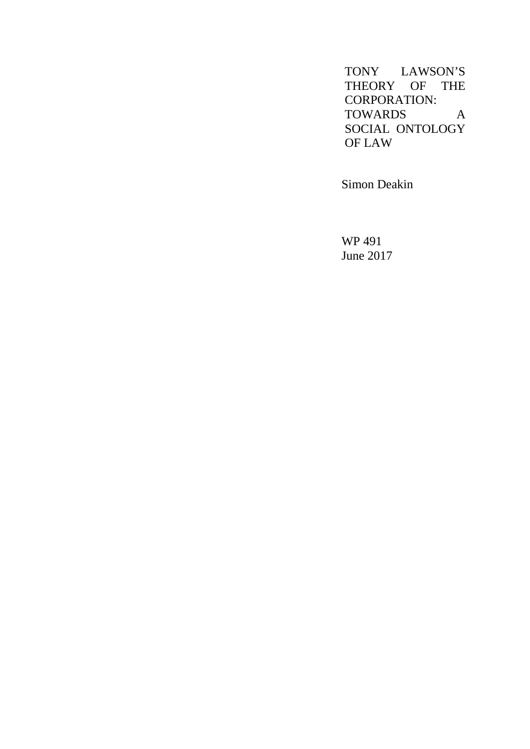TONY LAWSON'S THEORY OF THE CORPORATION: TOWARDS A SOCIAL ONTOLOGY OF LAW

Simon Deakin

WP 491 June 2017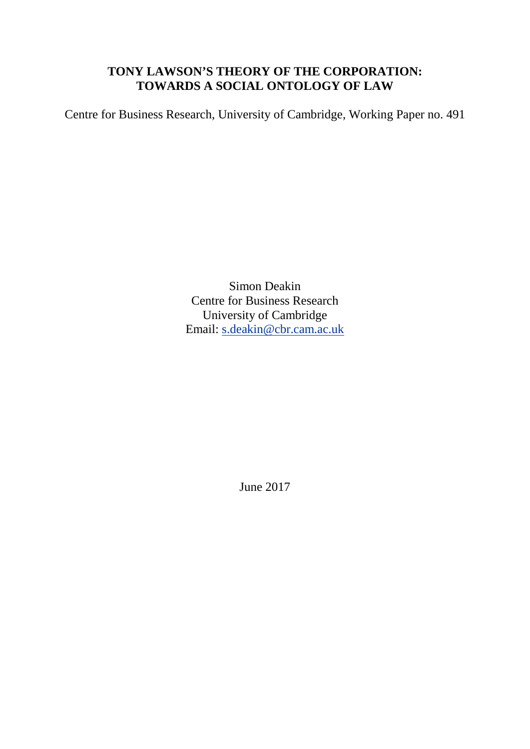## **TONY LAWSON'S THEORY OF THE CORPORATION: TOWARDS A SOCIAL ONTOLOGY OF LAW**

Centre for Business Research, University of Cambridge, Working Paper no. 491

Simon Deakin Centre for Business Research University of Cambridge Email: [s.deakin@cbr.cam.ac.uk](mailto:s.deakin@cbr.cam.ac.uk)

June 2017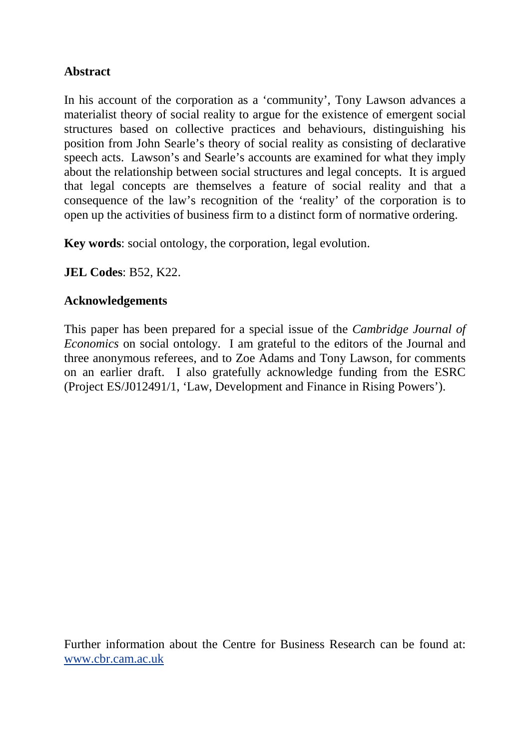## **Abstract**

In his account of the corporation as a 'community', Tony Lawson advances a materialist theory of social reality to argue for the existence of emergent social structures based on collective practices and behaviours, distinguishing his position from John Searle's theory of social reality as consisting of declarative speech acts. Lawson's and Searle's accounts are examined for what they imply about the relationship between social structures and legal concepts. It is argued that legal concepts are themselves a feature of social reality and that a consequence of the law's recognition of the 'reality' of the corporation is to open up the activities of business firm to a distinct form of normative ordering.

**Key words**: social ontology, the corporation, legal evolution.

**JEL Codes**: B52, K22.

## **Acknowledgements**

This paper has been prepared for a special issue of the *Cambridge Journal of Economics* on social ontology. I am grateful to the editors of the Journal and three anonymous referees, and to Zoe Adams and Tony Lawson, for comments on an earlier draft. I also gratefully acknowledge funding from the ESRC (Project ES/J012491/1, 'Law, Development and Finance in Rising Powers').

Further information about the Centre for Business Research can be found at: [www.cbr.cam.ac.uk](http://www.cbr.cam.ac.uk/)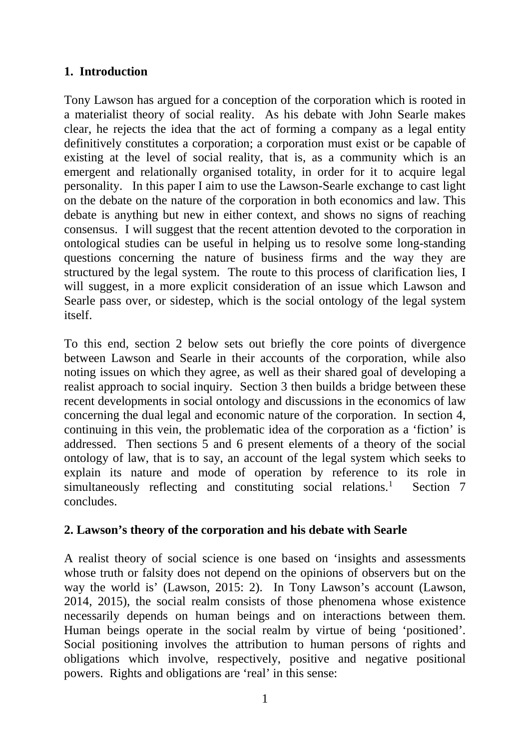## **1. Introduction**

Tony Lawson has argued for a conception of the corporation which is rooted in a materialist theory of social reality. As his debate with John Searle makes clear, he rejects the idea that the act of forming a company as a legal entity definitively constitutes a corporation; a corporation must exist or be capable of existing at the level of social reality, that is, as a community which is an emergent and relationally organised totality, in order for it to acquire legal personality. In this paper I aim to use the Lawson-Searle exchange to cast light on the debate on the nature of the corporation in both economics and law. This debate is anything but new in either context, and shows no signs of reaching consensus. I will suggest that the recent attention devoted to the corporation in ontological studies can be useful in helping us to resolve some long-standing questions concerning the nature of business firms and the way they are structured by the legal system. The route to this process of clarification lies, I will suggest, in a more explicit consideration of an issue which Lawson and Searle pass over, or sidestep, which is the social ontology of the legal system itself.

To this end, section 2 below sets out briefly the core points of divergence between Lawson and Searle in their accounts of the corporation, while also noting issues on which they agree, as well as their shared goal of developing a realist approach to social inquiry. Section 3 then builds a bridge between these recent developments in social ontology and discussions in the economics of law concerning the dual legal and economic nature of the corporation. In section 4, continuing in this vein, the problematic idea of the corporation as a 'fiction' is addressed. Then sections 5 and 6 present elements of a theory of the social ontology of law, that is to say, an account of the legal system which seeks to explain its nature and mode of operation by reference to its role in simultaneously reflecting and constituting social relations.<sup>[1](#page-30-0)</sup> Section 7 concludes.

### **2. Lawson's theory of the corporation and his debate with Searle**

A realist theory of social science is one based on 'insights and assessments whose truth or falsity does not depend on the opinions of observers but on the way the world is' (Lawson, 2015: 2). In Tony Lawson's account (Lawson, 2014, 2015), the social realm consists of those phenomena whose existence necessarily depends on human beings and on interactions between them. Human beings operate in the social realm by virtue of being 'positioned'. Social positioning involves the attribution to human persons of rights and obligations which involve, respectively, positive and negative positional powers. Rights and obligations are 'real' in this sense: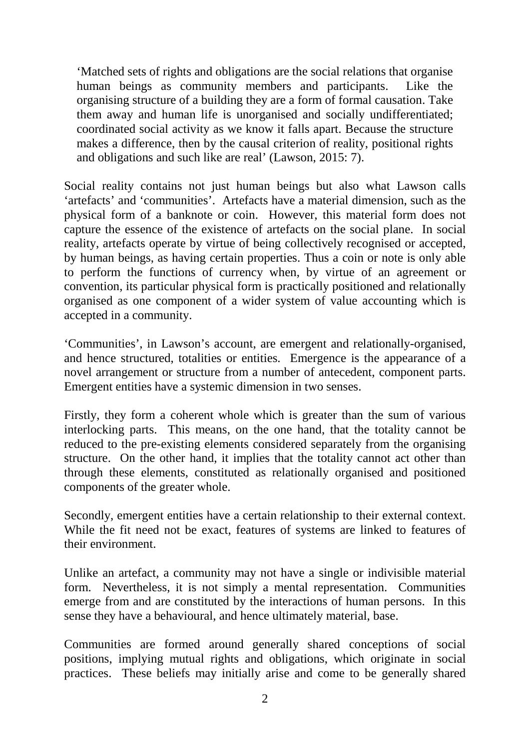'Matched sets of rights and obligations are the social relations that organise human beings as community members and participants. Like the organising structure of a building they are a form of formal causation. Take them away and human life is unorganised and socially undifferentiated; coordinated social activity as we know it falls apart. Because the structure makes a difference, then by the causal criterion of reality, positional rights and obligations and such like are real' (Lawson, 2015: 7).

Social reality contains not just human beings but also what Lawson calls 'artefacts' and 'communities'. Artefacts have a material dimension, such as the physical form of a banknote or coin. However, this material form does not capture the essence of the existence of artefacts on the social plane. In social reality, artefacts operate by virtue of being collectively recognised or accepted, by human beings, as having certain properties. Thus a coin or note is only able to perform the functions of currency when, by virtue of an agreement or convention, its particular physical form is practically positioned and relationally organised as one component of a wider system of value accounting which is accepted in a community.

'Communities', in Lawson's account, are emergent and relationally-organised, and hence structured, totalities or entities. Emergence is the appearance of a novel arrangement or structure from a number of antecedent, component parts. Emergent entities have a systemic dimension in two senses.

Firstly, they form a coherent whole which is greater than the sum of various interlocking parts. This means, on the one hand, that the totality cannot be reduced to the pre-existing elements considered separately from the organising structure. On the other hand, it implies that the totality cannot act other than through these elements, constituted as relationally organised and positioned components of the greater whole.

Secondly, emergent entities have a certain relationship to their external context. While the fit need not be exact, features of systems are linked to features of their environment.

Unlike an artefact, a community may not have a single or indivisible material form. Nevertheless, it is not simply a mental representation. Communities emerge from and are constituted by the interactions of human persons. In this sense they have a behavioural, and hence ultimately material, base.

Communities are formed around generally shared conceptions of social positions, implying mutual rights and obligations, which originate in social practices. These beliefs may initially arise and come to be generally shared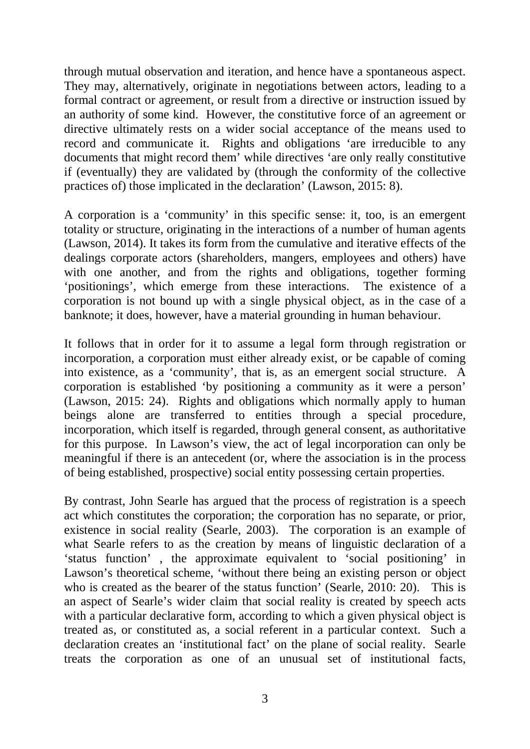through mutual observation and iteration, and hence have a spontaneous aspect. They may, alternatively, originate in negotiations between actors, leading to a formal contract or agreement, or result from a directive or instruction issued by an authority of some kind. However, the constitutive force of an agreement or directive ultimately rests on a wider social acceptance of the means used to record and communicate it. Rights and obligations 'are irreducible to any documents that might record them' while directives 'are only really constitutive if (eventually) they are validated by (through the conformity of the collective practices of) those implicated in the declaration' (Lawson, 2015: 8).

A corporation is a 'community' in this specific sense: it, too, is an emergent totality or structure, originating in the interactions of a number of human agents (Lawson, 2014). It takes its form from the cumulative and iterative effects of the dealings corporate actors (shareholders, mangers, employees and others) have with one another, and from the rights and obligations, together forming 'positionings', which emerge from these interactions. The existence of a corporation is not bound up with a single physical object, as in the case of a banknote; it does, however, have a material grounding in human behaviour.

It follows that in order for it to assume a legal form through registration or incorporation, a corporation must either already exist, or be capable of coming into existence, as a 'community', that is, as an emergent social structure. A corporation is established 'by positioning a community as it were a person' (Lawson, 2015: 24). Rights and obligations which normally apply to human beings alone are transferred to entities through a special procedure, incorporation, which itself is regarded, through general consent, as authoritative for this purpose. In Lawson's view, the act of legal incorporation can only be meaningful if there is an antecedent (or, where the association is in the process of being established, prospective) social entity possessing certain properties.

By contrast, John Searle has argued that the process of registration is a speech act which constitutes the corporation; the corporation has no separate, or prior, existence in social reality (Searle, 2003). The corporation is an example of what Searle refers to as the creation by means of linguistic declaration of a 'status function' , the approximate equivalent to 'social positioning' in Lawson's theoretical scheme, 'without there being an existing person or object who is created as the bearer of the status function' (Searle, 2010: 20). This is an aspect of Searle's wider claim that social reality is created by speech acts with a particular declarative form, according to which a given physical object is treated as, or constituted as, a social referent in a particular context. Such a declaration creates an 'institutional fact' on the plane of social reality. Searle treats the corporation as one of an unusual set of institutional facts,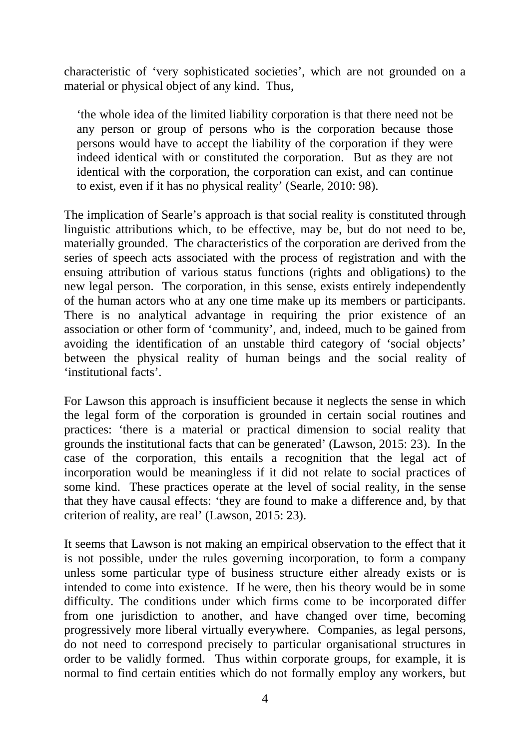characteristic of 'very sophisticated societies', which are not grounded on a material or physical object of any kind. Thus,

'the whole idea of the limited liability corporation is that there need not be any person or group of persons who is the corporation because those persons would have to accept the liability of the corporation if they were indeed identical with or constituted the corporation. But as they are not identical with the corporation, the corporation can exist, and can continue to exist, even if it has no physical reality' (Searle, 2010: 98).

The implication of Searle's approach is that social reality is constituted through linguistic attributions which, to be effective, may be, but do not need to be, materially grounded. The characteristics of the corporation are derived from the series of speech acts associated with the process of registration and with the ensuing attribution of various status functions (rights and obligations) to the new legal person. The corporation, in this sense, exists entirely independently of the human actors who at any one time make up its members or participants. There is no analytical advantage in requiring the prior existence of an association or other form of 'community', and, indeed, much to be gained from avoiding the identification of an unstable third category of 'social objects' between the physical reality of human beings and the social reality of 'institutional facts'.

For Lawson this approach is insufficient because it neglects the sense in which the legal form of the corporation is grounded in certain social routines and practices: 'there is a material or practical dimension to social reality that grounds the institutional facts that can be generated' (Lawson, 2015: 23). In the case of the corporation, this entails a recognition that the legal act of incorporation would be meaningless if it did not relate to social practices of some kind. These practices operate at the level of social reality, in the sense that they have causal effects: 'they are found to make a difference and, by that criterion of reality, are real' (Lawson, 2015: 23).

It seems that Lawson is not making an empirical observation to the effect that it is not possible, under the rules governing incorporation, to form a company unless some particular type of business structure either already exists or is intended to come into existence. If he were, then his theory would be in some difficulty. The conditions under which firms come to be incorporated differ from one jurisdiction to another, and have changed over time, becoming progressively more liberal virtually everywhere. Companies, as legal persons, do not need to correspond precisely to particular organisational structures in order to be validly formed. Thus within corporate groups, for example, it is normal to find certain entities which do not formally employ any workers, but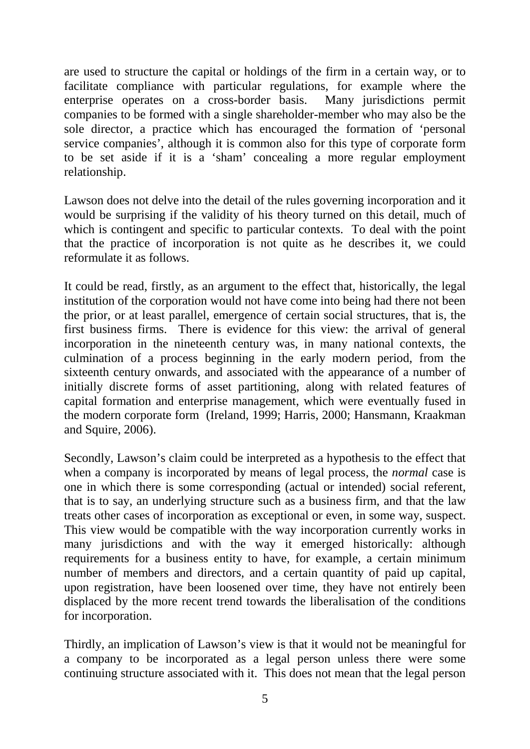are used to structure the capital or holdings of the firm in a certain way, or to facilitate compliance with particular regulations, for example where the enterprise operates on a cross-border basis. Many jurisdictions permit companies to be formed with a single shareholder-member who may also be the sole director, a practice which has encouraged the formation of 'personal service companies', although it is common also for this type of corporate form to be set aside if it is a 'sham' concealing a more regular employment relationship.

Lawson does not delve into the detail of the rules governing incorporation and it would be surprising if the validity of his theory turned on this detail, much of which is contingent and specific to particular contexts. To deal with the point that the practice of incorporation is not quite as he describes it, we could reformulate it as follows.

It could be read, firstly, as an argument to the effect that, historically, the legal institution of the corporation would not have come into being had there not been the prior, or at least parallel, emergence of certain social structures, that is, the first business firms. There is evidence for this view: the arrival of general incorporation in the nineteenth century was, in many national contexts, the culmination of a process beginning in the early modern period, from the sixteenth century onwards, and associated with the appearance of a number of initially discrete forms of asset partitioning, along with related features of capital formation and enterprise management, which were eventually fused in the modern corporate form (Ireland, 1999; Harris, 2000; Hansmann, Kraakman and Squire, 2006).

Secondly, Lawson's claim could be interpreted as a hypothesis to the effect that when a company is incorporated by means of legal process, the *normal* case is one in which there is some corresponding (actual or intended) social referent, that is to say, an underlying structure such as a business firm, and that the law treats other cases of incorporation as exceptional or even, in some way, suspect. This view would be compatible with the way incorporation currently works in many jurisdictions and with the way it emerged historically: although requirements for a business entity to have, for example, a certain minimum number of members and directors, and a certain quantity of paid up capital, upon registration, have been loosened over time, they have not entirely been displaced by the more recent trend towards the liberalisation of the conditions for incorporation.

Thirdly, an implication of Lawson's view is that it would not be meaningful for a company to be incorporated as a legal person unless there were some continuing structure associated with it. This does not mean that the legal person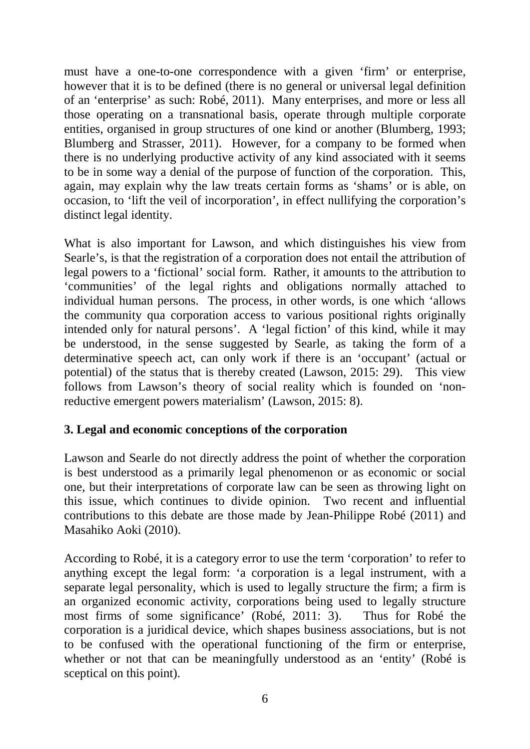must have a one-to-one correspondence with a given 'firm' or enterprise, however that it is to be defined (there is no general or universal legal definition of an 'enterprise' as such: Robé, 2011). Many enterprises, and more or less all those operating on a transnational basis, operate through multiple corporate entities, organised in group structures of one kind or another (Blumberg, 1993; Blumberg and Strasser, 2011). However, for a company to be formed when there is no underlying productive activity of any kind associated with it seems to be in some way a denial of the purpose of function of the corporation. This, again, may explain why the law treats certain forms as 'shams' or is able, on occasion, to 'lift the veil of incorporation', in effect nullifying the corporation's distinct legal identity.

What is also important for Lawson, and which distinguishes his view from Searle's, is that the registration of a corporation does not entail the attribution of legal powers to a 'fictional' social form. Rather, it amounts to the attribution to 'communities' of the legal rights and obligations normally attached to individual human persons. The process, in other words, is one which 'allows the community qua corporation access to various positional rights originally intended only for natural persons'. A 'legal fiction' of this kind, while it may be understood, in the sense suggested by Searle, as taking the form of a determinative speech act, can only work if there is an 'occupant' (actual or potential) of the status that is thereby created (Lawson, 2015: 29). This view follows from Lawson's theory of social reality which is founded on 'nonreductive emergent powers materialism' (Lawson, 2015: 8).

## **3. Legal and economic conceptions of the corporation**

Lawson and Searle do not directly address the point of whether the corporation is best understood as a primarily legal phenomenon or as economic or social one, but their interpretations of corporate law can be seen as throwing light on this issue, which continues to divide opinion. Two recent and influential contributions to this debate are those made by Jean-Philippe Robé (2011) and Masahiko Aoki (2010).

According to Robé, it is a category error to use the term 'corporation' to refer to anything except the legal form: 'a corporation is a legal instrument, with a separate legal personality, which is used to legally structure the firm; a firm is an organized economic activity, corporations being used to legally structure most firms of some significance' (Robé, 2011: 3). Thus for Robé the corporation is a juridical device, which shapes business associations, but is not to be confused with the operational functioning of the firm or enterprise, whether or not that can be meaningfully understood as an 'entity' (Robé is sceptical on this point).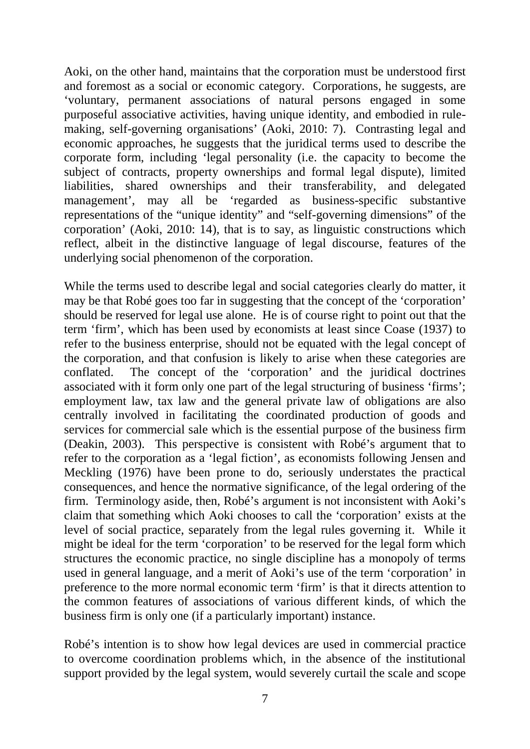Aoki, on the other hand, maintains that the corporation must be understood first and foremost as a social or economic category. Corporations, he suggests, are 'voluntary, permanent associations of natural persons engaged in some purposeful associative activities, having unique identity, and embodied in rulemaking, self-governing organisations' (Aoki, 2010: 7). Contrasting legal and economic approaches, he suggests that the juridical terms used to describe the corporate form, including 'legal personality (i.e. the capacity to become the subject of contracts, property ownerships and formal legal dispute), limited liabilities, shared ownerships and their transferability, and delegated management', may all be 'regarded as business-specific substantive representations of the "unique identity" and "self-governing dimensions" of the corporation' (Aoki, 2010: 14), that is to say, as linguistic constructions which reflect, albeit in the distinctive language of legal discourse, features of the underlying social phenomenon of the corporation.

While the terms used to describe legal and social categories clearly do matter, it may be that Robé goes too far in suggesting that the concept of the 'corporation' should be reserved for legal use alone. He is of course right to point out that the term 'firm', which has been used by economists at least since Coase (1937) to refer to the business enterprise, should not be equated with the legal concept of the corporation, and that confusion is likely to arise when these categories are conflated. The concept of the 'corporation' and the juridical doctrines associated with it form only one part of the legal structuring of business 'firms'; employment law, tax law and the general private law of obligations are also centrally involved in facilitating the coordinated production of goods and services for commercial sale which is the essential purpose of the business firm (Deakin, 2003). This perspective is consistent with Robé's argument that to refer to the corporation as a 'legal fiction', as economists following Jensen and Meckling (1976) have been prone to do, seriously understates the practical consequences, and hence the normative significance, of the legal ordering of the firm. Terminology aside, then, Robé's argument is not inconsistent with Aoki's claim that something which Aoki chooses to call the 'corporation' exists at the level of social practice, separately from the legal rules governing it. While it might be ideal for the term 'corporation' to be reserved for the legal form which structures the economic practice, no single discipline has a monopoly of terms used in general language, and a merit of Aoki's use of the term 'corporation' in preference to the more normal economic term 'firm' is that it directs attention to the common features of associations of various different kinds, of which the business firm is only one (if a particularly important) instance.

Robé's intention is to show how legal devices are used in commercial practice to overcome coordination problems which, in the absence of the institutional support provided by the legal system, would severely curtail the scale and scope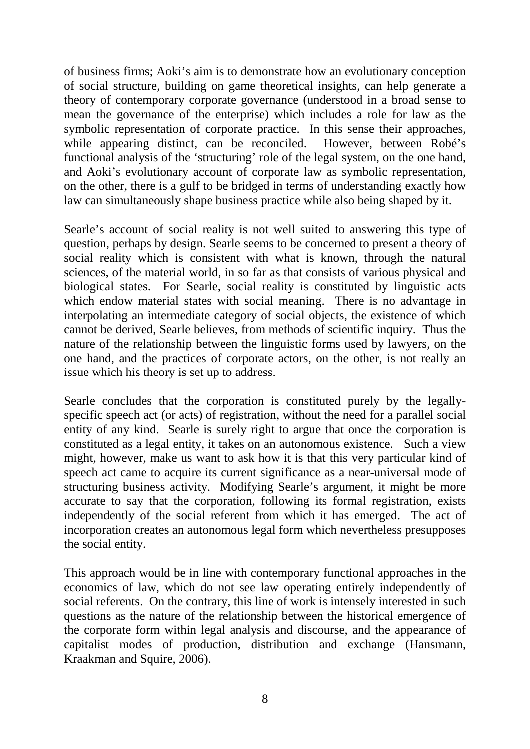of business firms; Aoki's aim is to demonstrate how an evolutionary conception of social structure, building on game theoretical insights, can help generate a theory of contemporary corporate governance (understood in a broad sense to mean the governance of the enterprise) which includes a role for law as the symbolic representation of corporate practice. In this sense their approaches, while appearing distinct, can be reconciled. However, between Robé's functional analysis of the 'structuring' role of the legal system, on the one hand, and Aoki's evolutionary account of corporate law as symbolic representation, on the other, there is a gulf to be bridged in terms of understanding exactly how law can simultaneously shape business practice while also being shaped by it.

Searle's account of social reality is not well suited to answering this type of question, perhaps by design. Searle seems to be concerned to present a theory of social reality which is consistent with what is known, through the natural sciences, of the material world, in so far as that consists of various physical and biological states. For Searle, social reality is constituted by linguistic acts which endow material states with social meaning. There is no advantage in interpolating an intermediate category of social objects, the existence of which cannot be derived, Searle believes, from methods of scientific inquiry. Thus the nature of the relationship between the linguistic forms used by lawyers, on the one hand, and the practices of corporate actors, on the other, is not really an issue which his theory is set up to address.

Searle concludes that the corporation is constituted purely by the legallyspecific speech act (or acts) of registration, without the need for a parallel social entity of any kind. Searle is surely right to argue that once the corporation is constituted as a legal entity, it takes on an autonomous existence. Such a view might, however, make us want to ask how it is that this very particular kind of speech act came to acquire its current significance as a near-universal mode of structuring business activity. Modifying Searle's argument, it might be more accurate to say that the corporation, following its formal registration, exists independently of the social referent from which it has emerged. The act of incorporation creates an autonomous legal form which nevertheless presupposes the social entity.

This approach would be in line with contemporary functional approaches in the economics of law, which do not see law operating entirely independently of social referents. On the contrary, this line of work is intensely interested in such questions as the nature of the relationship between the historical emergence of the corporate form within legal analysis and discourse, and the appearance of capitalist modes of production, distribution and exchange (Hansmann, Kraakman and Squire, 2006).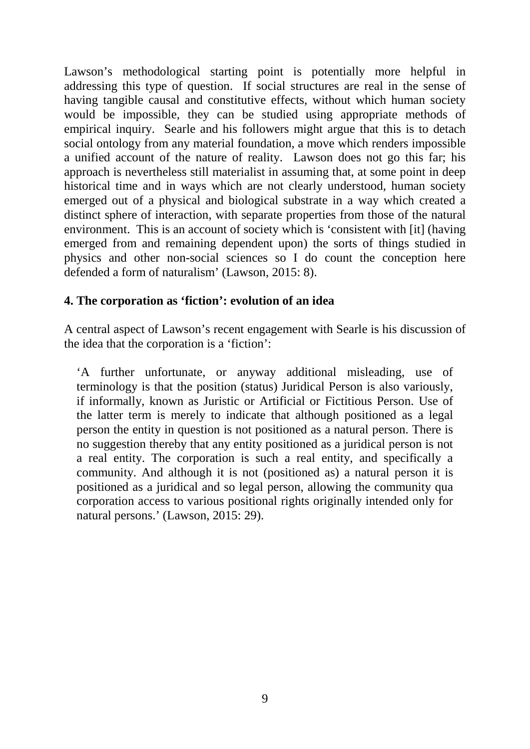Lawson's methodological starting point is potentially more helpful in addressing this type of question. If social structures are real in the sense of having tangible causal and constitutive effects, without which human society would be impossible, they can be studied using appropriate methods of empirical inquiry. Searle and his followers might argue that this is to detach social ontology from any material foundation, a move which renders impossible a unified account of the nature of reality. Lawson does not go this far; his approach is nevertheless still materialist in assuming that, at some point in deep historical time and in ways which are not clearly understood, human society emerged out of a physical and biological substrate in a way which created a distinct sphere of interaction, with separate properties from those of the natural environment. This is an account of society which is 'consistent with [it] (having emerged from and remaining dependent upon) the sorts of things studied in physics and other non-social sciences so I do count the conception here defended a form of naturalism' (Lawson, 2015: 8).

### **4. The corporation as 'fiction': evolution of an idea**

A central aspect of Lawson's recent engagement with Searle is his discussion of the idea that the corporation is a 'fiction':

'A further unfortunate, or anyway additional misleading, use of terminology is that the position (status) Juridical Person is also variously, if informally, known as Juristic or Artificial or Fictitious Person. Use of the latter term is merely to indicate that although positioned as a legal person the entity in question is not positioned as a natural person. There is no suggestion thereby that any entity positioned as a juridical person is not a real entity. The corporation is such a real entity, and specifically a community. And although it is not (positioned as) a natural person it is positioned as a juridical and so legal person, allowing the community qua corporation access to various positional rights originally intended only for natural persons.' (Lawson, 2015: 29).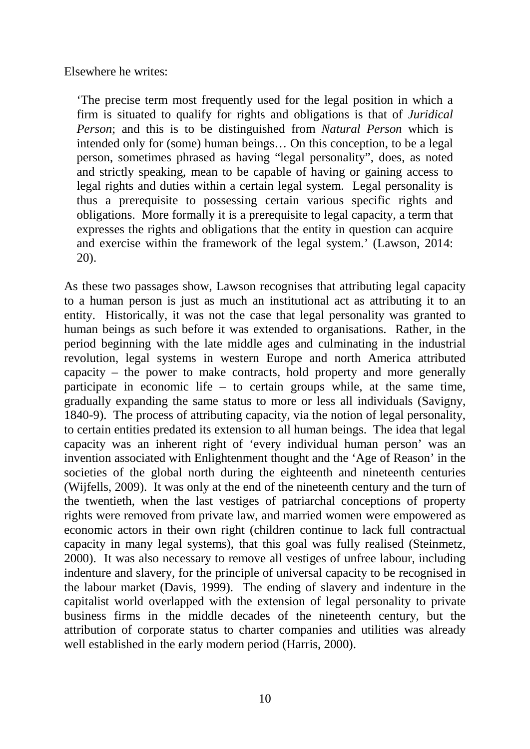Elsewhere he writes:

'The precise term most frequently used for the legal position in which a firm is situated to qualify for rights and obligations is that of *Juridical Person*; and this is to be distinguished from *Natural Person* which is intended only for (some) human beings… On this conception, to be a legal person, sometimes phrased as having "legal personality", does, as noted and strictly speaking, mean to be capable of having or gaining access to legal rights and duties within a certain legal system. Legal personality is thus a prerequisite to possessing certain various specific rights and obligations. More formally it is a prerequisite to legal capacity, a term that expresses the rights and obligations that the entity in question can acquire and exercise within the framework of the legal system.' (Lawson, 2014: 20).

As these two passages show, Lawson recognises that attributing legal capacity to a human person is just as much an institutional act as attributing it to an entity. Historically, it was not the case that legal personality was granted to human beings as such before it was extended to organisations. Rather, in the period beginning with the late middle ages and culminating in the industrial revolution, legal systems in western Europe and north America attributed capacity – the power to make contracts, hold property and more generally participate in economic life – to certain groups while, at the same time, gradually expanding the same status to more or less all individuals (Savigny, 1840-9). The process of attributing capacity, via the notion of legal personality, to certain entities predated its extension to all human beings. The idea that legal capacity was an inherent right of 'every individual human person' was an invention associated with Enlightenment thought and the 'Age of Reason' in the societies of the global north during the eighteenth and nineteenth centuries (Wijfells, 2009). It was only at the end of the nineteenth century and the turn of the twentieth, when the last vestiges of patriarchal conceptions of property rights were removed from private law, and married women were empowered as economic actors in their own right (children continue to lack full contractual capacity in many legal systems), that this goal was fully realised (Steinmetz, 2000). It was also necessary to remove all vestiges of unfree labour, including indenture and slavery, for the principle of universal capacity to be recognised in the labour market (Davis, 1999). The ending of slavery and indenture in the capitalist world overlapped with the extension of legal personality to private business firms in the middle decades of the nineteenth century, but the attribution of corporate status to charter companies and utilities was already well established in the early modern period (Harris, 2000).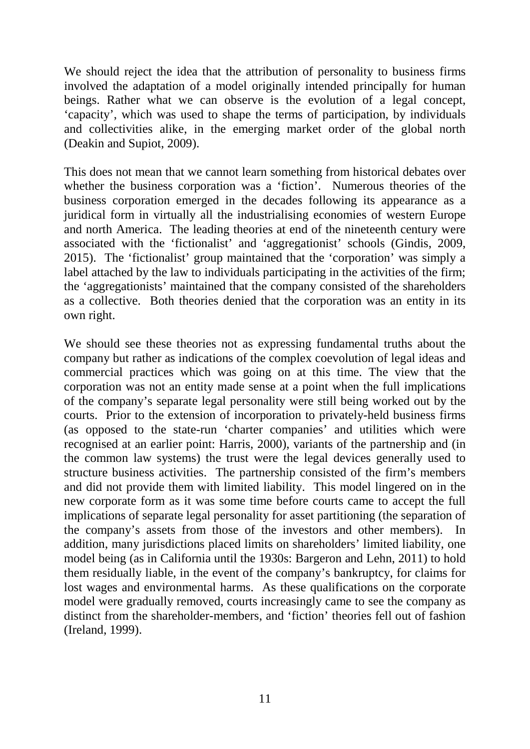We should reject the idea that the attribution of personality to business firms involved the adaptation of a model originally intended principally for human beings. Rather what we can observe is the evolution of a legal concept, 'capacity', which was used to shape the terms of participation, by individuals and collectivities alike, in the emerging market order of the global north (Deakin and Supiot, 2009).

This does not mean that we cannot learn something from historical debates over whether the business corporation was a 'fiction'. Numerous theories of the business corporation emerged in the decades following its appearance as a juridical form in virtually all the industrialising economies of western Europe and north America. The leading theories at end of the nineteenth century were associated with the 'fictionalist' and 'aggregationist' schools (Gindis, 2009, 2015). The 'fictionalist' group maintained that the 'corporation' was simply a label attached by the law to individuals participating in the activities of the firm; the 'aggregationists' maintained that the company consisted of the shareholders as a collective. Both theories denied that the corporation was an entity in its own right.

We should see these theories not as expressing fundamental truths about the company but rather as indications of the complex coevolution of legal ideas and commercial practices which was going on at this time. The view that the corporation was not an entity made sense at a point when the full implications of the company's separate legal personality were still being worked out by the courts. Prior to the extension of incorporation to privately-held business firms (as opposed to the state-run 'charter companies' and utilities which were recognised at an earlier point: Harris, 2000), variants of the partnership and (in the common law systems) the trust were the legal devices generally used to structure business activities. The partnership consisted of the firm's members and did not provide them with limited liability. This model lingered on in the new corporate form as it was some time before courts came to accept the full implications of separate legal personality for asset partitioning (the separation of the company's assets from those of the investors and other members). In addition, many jurisdictions placed limits on shareholders' limited liability, one model being (as in California until the 1930s: Bargeron and Lehn, 2011) to hold them residually liable, in the event of the company's bankruptcy, for claims for lost wages and environmental harms. As these qualifications on the corporate model were gradually removed, courts increasingly came to see the company as distinct from the shareholder-members, and 'fiction' theories fell out of fashion (Ireland, 1999).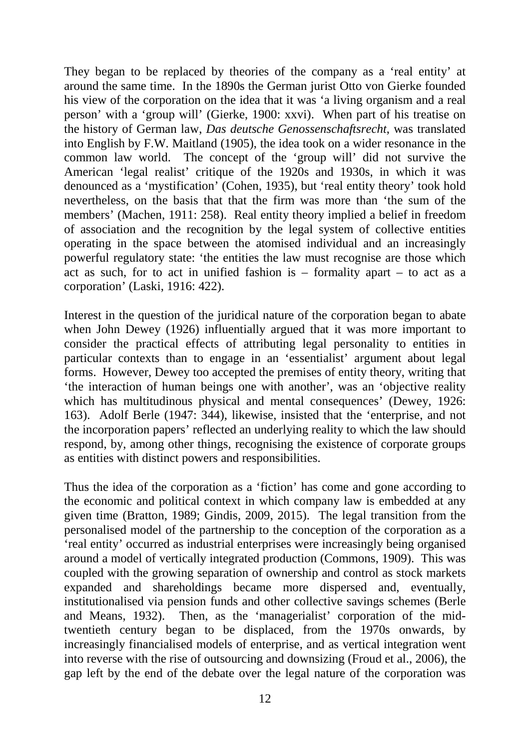They began to be replaced by theories of the company as a 'real entity' at around the same time. In the 1890s the German jurist Otto von Gierke founded his view of the corporation on the idea that it was 'a living organism and a real person' with a 'group will' (Gierke, 1900: xxvi). When part of his treatise on the history of German law, *Das deutsche Genossenschaftsrecht*, was translated into English by F.W. Maitland (1905), the idea took on a wider resonance in the common law world. The concept of the 'group will' did not survive the American 'legal realist' critique of the 1920s and 1930s, in which it was denounced as a 'mystification' (Cohen, 1935), but 'real entity theory' took hold nevertheless, on the basis that that the firm was more than 'the sum of the members' (Machen, 1911: 258). Real entity theory implied a belief in freedom of association and the recognition by the legal system of collective entities operating in the space between the atomised individual and an increasingly powerful regulatory state: 'the entities the law must recognise are those which act as such, for to act in unified fashion is – formality apart – to act as a corporation' (Laski, 1916: 422).

Interest in the question of the juridical nature of the corporation began to abate when John Dewey (1926) influentially argued that it was more important to consider the practical effects of attributing legal personality to entities in particular contexts than to engage in an 'essentialist' argument about legal forms. However, Dewey too accepted the premises of entity theory, writing that 'the interaction of human beings one with another', was an 'objective reality which has multitudinous physical and mental consequences' (Dewey, 1926: 163). Adolf Berle (1947: 344), likewise, insisted that the 'enterprise, and not the incorporation papers' reflected an underlying reality to which the law should respond, by, among other things, recognising the existence of corporate groups as entities with distinct powers and responsibilities.

Thus the idea of the corporation as a 'fiction' has come and gone according to the economic and political context in which company law is embedded at any given time (Bratton, 1989; Gindis, 2009, 2015). The legal transition from the personalised model of the partnership to the conception of the corporation as a 'real entity' occurred as industrial enterprises were increasingly being organised around a model of vertically integrated production (Commons, 1909). This was coupled with the growing separation of ownership and control as stock markets expanded and shareholdings became more dispersed and, eventually, institutionalised via pension funds and other collective savings schemes (Berle and Means, 1932). Then, as the 'managerialist' corporation of the midtwentieth century began to be displaced, from the 1970s onwards, by increasingly financialised models of enterprise, and as vertical integration went into reverse with the rise of outsourcing and downsizing (Froud et al., 2006), the gap left by the end of the debate over the legal nature of the corporation was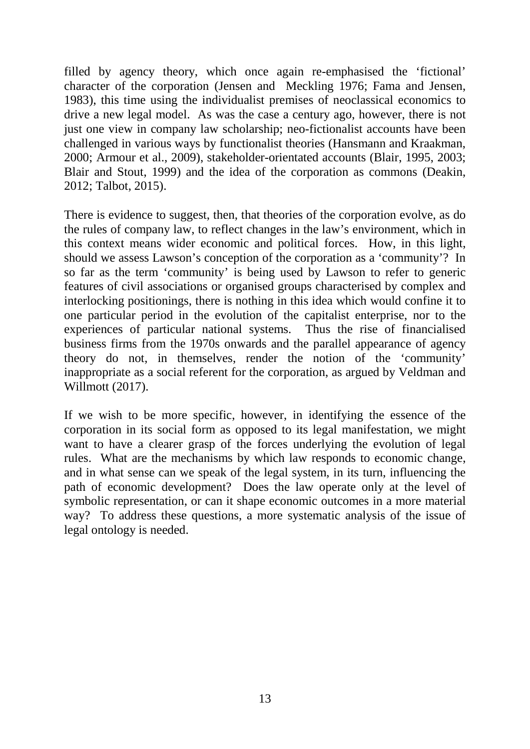filled by agency theory, which once again re-emphasised the 'fictional' character of the corporation (Jensen and Meckling 1976; Fama and Jensen, 1983), this time using the individualist premises of neoclassical economics to drive a new legal model. As was the case a century ago, however, there is not just one view in company law scholarship; neo-fictionalist accounts have been challenged in various ways by functionalist theories (Hansmann and Kraakman, 2000; Armour et al., 2009), stakeholder-orientated accounts (Blair, 1995, 2003; Blair and Stout, 1999) and the idea of the corporation as commons (Deakin, 2012; Talbot, 2015).

There is evidence to suggest, then, that theories of the corporation evolve, as do the rules of company law, to reflect changes in the law's environment, which in this context means wider economic and political forces. How, in this light, should we assess Lawson's conception of the corporation as a 'community'? In so far as the term 'community' is being used by Lawson to refer to generic features of civil associations or organised groups characterised by complex and interlocking positionings, there is nothing in this idea which would confine it to one particular period in the evolution of the capitalist enterprise, nor to the experiences of particular national systems. Thus the rise of financialised business firms from the 1970s onwards and the parallel appearance of agency theory do not, in themselves, render the notion of the 'community' inappropriate as a social referent for the corporation, as argued by Veldman and Willmott (2017).

If we wish to be more specific, however, in identifying the essence of the corporation in its social form as opposed to its legal manifestation, we might want to have a clearer grasp of the forces underlying the evolution of legal rules. What are the mechanisms by which law responds to economic change, and in what sense can we speak of the legal system, in its turn, influencing the path of economic development? Does the law operate only at the level of symbolic representation, or can it shape economic outcomes in a more material way? To address these questions, a more systematic analysis of the issue of legal ontology is needed.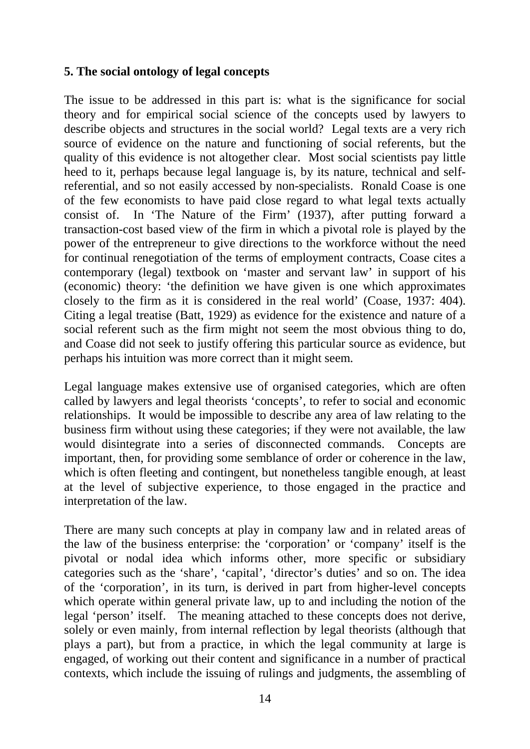### **5. The social ontology of legal concepts**

The issue to be addressed in this part is: what is the significance for social theory and for empirical social science of the concepts used by lawyers to describe objects and structures in the social world? Legal texts are a very rich source of evidence on the nature and functioning of social referents, but the quality of this evidence is not altogether clear. Most social scientists pay little heed to it, perhaps because legal language is, by its nature, technical and selfreferential, and so not easily accessed by non-specialists. Ronald Coase is one of the few economists to have paid close regard to what legal texts actually consist of. In 'The Nature of the Firm' (1937), after putting forward a transaction-cost based view of the firm in which a pivotal role is played by the power of the entrepreneur to give directions to the workforce without the need for continual renegotiation of the terms of employment contracts, Coase cites a contemporary (legal) textbook on 'master and servant law' in support of his (economic) theory: 'the definition we have given is one which approximates closely to the firm as it is considered in the real world' (Coase, 1937: 404). Citing a legal treatise (Batt, 1929) as evidence for the existence and nature of a social referent such as the firm might not seem the most obvious thing to do, and Coase did not seek to justify offering this particular source as evidence, but perhaps his intuition was more correct than it might seem.

Legal language makes extensive use of organised categories, which are often called by lawyers and legal theorists 'concepts', to refer to social and economic relationships. It would be impossible to describe any area of law relating to the business firm without using these categories; if they were not available, the law would disintegrate into a series of disconnected commands. Concepts are important, then, for providing some semblance of order or coherence in the law, which is often fleeting and contingent, but nonetheless tangible enough, at least at the level of subjective experience, to those engaged in the practice and interpretation of the law.

There are many such concepts at play in company law and in related areas of the law of the business enterprise: the 'corporation' or 'company' itself is the pivotal or nodal idea which informs other, more specific or subsidiary categories such as the 'share', 'capital', 'director's duties' and so on. The idea of the 'corporation', in its turn, is derived in part from higher-level concepts which operate within general private law, up to and including the notion of the legal 'person' itself. The meaning attached to these concepts does not derive, solely or even mainly, from internal reflection by legal theorists (although that plays a part), but from a practice, in which the legal community at large is engaged, of working out their content and significance in a number of practical contexts, which include the issuing of rulings and judgments, the assembling of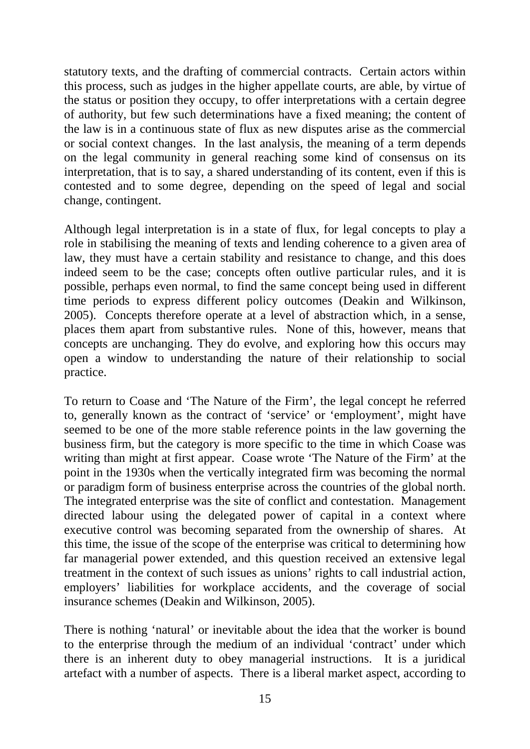statutory texts, and the drafting of commercial contracts. Certain actors within this process, such as judges in the higher appellate courts, are able, by virtue of the status or position they occupy, to offer interpretations with a certain degree of authority, but few such determinations have a fixed meaning; the content of the law is in a continuous state of flux as new disputes arise as the commercial or social context changes. In the last analysis, the meaning of a term depends on the legal community in general reaching some kind of consensus on its interpretation, that is to say, a shared understanding of its content, even if this is contested and to some degree, depending on the speed of legal and social change, contingent.

Although legal interpretation is in a state of flux, for legal concepts to play a role in stabilising the meaning of texts and lending coherence to a given area of law, they must have a certain stability and resistance to change, and this does indeed seem to be the case; concepts often outlive particular rules, and it is possible, perhaps even normal, to find the same concept being used in different time periods to express different policy outcomes (Deakin and Wilkinson, 2005). Concepts therefore operate at a level of abstraction which, in a sense, places them apart from substantive rules. None of this, however, means that concepts are unchanging. They do evolve, and exploring how this occurs may open a window to understanding the nature of their relationship to social practice.

To return to Coase and 'The Nature of the Firm', the legal concept he referred to, generally known as the contract of 'service' or 'employment', might have seemed to be one of the more stable reference points in the law governing the business firm, but the category is more specific to the time in which Coase was writing than might at first appear. Coase wrote 'The Nature of the Firm' at the point in the 1930s when the vertically integrated firm was becoming the normal or paradigm form of business enterprise across the countries of the global north. The integrated enterprise was the site of conflict and contestation. Management directed labour using the delegated power of capital in a context where executive control was becoming separated from the ownership of shares. At this time, the issue of the scope of the enterprise was critical to determining how far managerial power extended, and this question received an extensive legal treatment in the context of such issues as unions' rights to call industrial action, employers' liabilities for workplace accidents, and the coverage of social insurance schemes (Deakin and Wilkinson, 2005).

There is nothing 'natural' or inevitable about the idea that the worker is bound to the enterprise through the medium of an individual 'contract' under which there is an inherent duty to obey managerial instructions. It is a juridical artefact with a number of aspects. There is a liberal market aspect, according to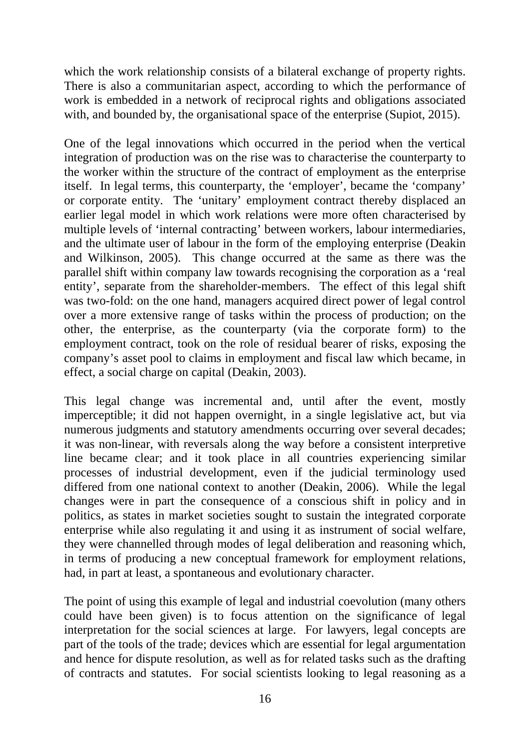which the work relationship consists of a bilateral exchange of property rights. There is also a communitarian aspect, according to which the performance of work is embedded in a network of reciprocal rights and obligations associated with, and bounded by, the organisational space of the enterprise (Supiot, 2015).

One of the legal innovations which occurred in the period when the vertical integration of production was on the rise was to characterise the counterparty to the worker within the structure of the contract of employment as the enterprise itself. In legal terms, this counterparty, the 'employer', became the 'company' or corporate entity. The 'unitary' employment contract thereby displaced an earlier legal model in which work relations were more often characterised by multiple levels of 'internal contracting' between workers, labour intermediaries, and the ultimate user of labour in the form of the employing enterprise (Deakin and Wilkinson, 2005). This change occurred at the same as there was the parallel shift within company law towards recognising the corporation as a 'real entity', separate from the shareholder-members. The effect of this legal shift was two-fold: on the one hand, managers acquired direct power of legal control over a more extensive range of tasks within the process of production; on the other, the enterprise, as the counterparty (via the corporate form) to the employment contract, took on the role of residual bearer of risks, exposing the company's asset pool to claims in employment and fiscal law which became, in effect, a social charge on capital (Deakin, 2003).

This legal change was incremental and, until after the event, mostly imperceptible; it did not happen overnight, in a single legislative act, but via numerous judgments and statutory amendments occurring over several decades; it was non-linear, with reversals along the way before a consistent interpretive line became clear; and it took place in all countries experiencing similar processes of industrial development, even if the judicial terminology used differed from one national context to another (Deakin, 2006). While the legal changes were in part the consequence of a conscious shift in policy and in politics, as states in market societies sought to sustain the integrated corporate enterprise while also regulating it and using it as instrument of social welfare, they were channelled through modes of legal deliberation and reasoning which, in terms of producing a new conceptual framework for employment relations, had, in part at least, a spontaneous and evolutionary character.

The point of using this example of legal and industrial coevolution (many others could have been given) is to focus attention on the significance of legal interpretation for the social sciences at large. For lawyers, legal concepts are part of the tools of the trade; devices which are essential for legal argumentation and hence for dispute resolution, as well as for related tasks such as the drafting of contracts and statutes. For social scientists looking to legal reasoning as a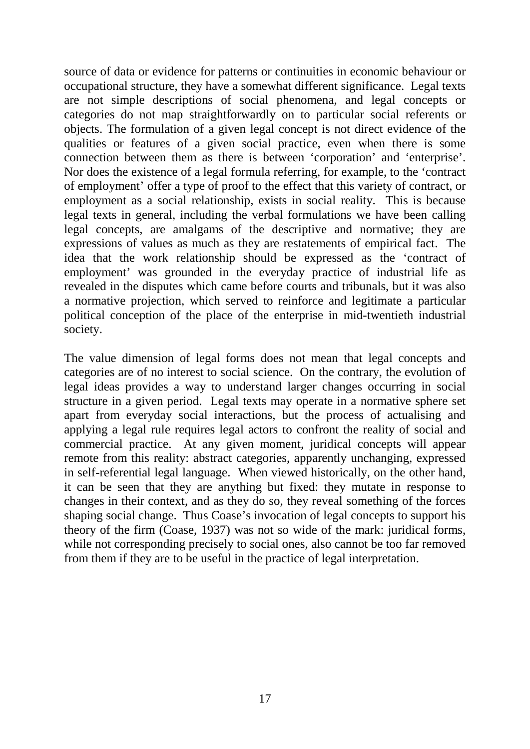source of data or evidence for patterns or continuities in economic behaviour or occupational structure, they have a somewhat different significance. Legal texts are not simple descriptions of social phenomena, and legal concepts or categories do not map straightforwardly on to particular social referents or objects. The formulation of a given legal concept is not direct evidence of the qualities or features of a given social practice, even when there is some connection between them as there is between 'corporation' and 'enterprise'. Nor does the existence of a legal formula referring, for example, to the 'contract of employment' offer a type of proof to the effect that this variety of contract, or employment as a social relationship, exists in social reality. This is because legal texts in general, including the verbal formulations we have been calling legal concepts, are amalgams of the descriptive and normative; they are expressions of values as much as they are restatements of empirical fact. The idea that the work relationship should be expressed as the 'contract of employment' was grounded in the everyday practice of industrial life as revealed in the disputes which came before courts and tribunals, but it was also a normative projection, which served to reinforce and legitimate a particular political conception of the place of the enterprise in mid-twentieth industrial society.

The value dimension of legal forms does not mean that legal concepts and categories are of no interest to social science. On the contrary, the evolution of legal ideas provides a way to understand larger changes occurring in social structure in a given period. Legal texts may operate in a normative sphere set apart from everyday social interactions, but the process of actualising and applying a legal rule requires legal actors to confront the reality of social and commercial practice. At any given moment, juridical concepts will appear remote from this reality: abstract categories, apparently unchanging, expressed in self-referential legal language. When viewed historically, on the other hand, it can be seen that they are anything but fixed: they mutate in response to changes in their context, and as they do so, they reveal something of the forces shaping social change. Thus Coase's invocation of legal concepts to support his theory of the firm (Coase, 1937) was not so wide of the mark: juridical forms, while not corresponding precisely to social ones, also cannot be too far removed from them if they are to be useful in the practice of legal interpretation.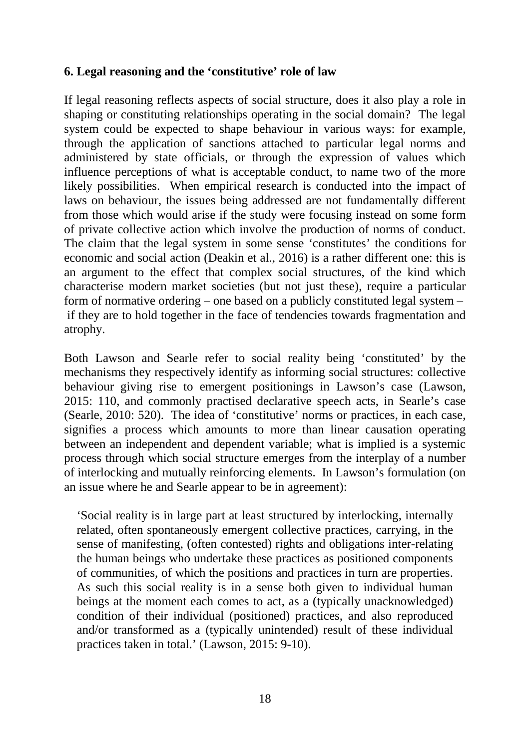### **6. Legal reasoning and the 'constitutive' role of law**

If legal reasoning reflects aspects of social structure, does it also play a role in shaping or constituting relationships operating in the social domain? The legal system could be expected to shape behaviour in various ways: for example, through the application of sanctions attached to particular legal norms and administered by state officials, or through the expression of values which influence perceptions of what is acceptable conduct, to name two of the more likely possibilities. When empirical research is conducted into the impact of laws on behaviour, the issues being addressed are not fundamentally different from those which would arise if the study were focusing instead on some form of private collective action which involve the production of norms of conduct. The claim that the legal system in some sense 'constitutes' the conditions for economic and social action (Deakin et al., 2016) is a rather different one: this is an argument to the effect that complex social structures, of the kind which characterise modern market societies (but not just these), require a particular form of normative ordering – one based on a publicly constituted legal system – if they are to hold together in the face of tendencies towards fragmentation and atrophy.

Both Lawson and Searle refer to social reality being 'constituted' by the mechanisms they respectively identify as informing social structures: collective behaviour giving rise to emergent positionings in Lawson's case (Lawson, 2015: 110, and commonly practised declarative speech acts, in Searle's case (Searle, 2010: 520). The idea of 'constitutive' norms or practices, in each case, signifies a process which amounts to more than linear causation operating between an independent and dependent variable; what is implied is a systemic process through which social structure emerges from the interplay of a number of interlocking and mutually reinforcing elements. In Lawson's formulation (on an issue where he and Searle appear to be in agreement):

'Social reality is in large part at least structured by interlocking, internally related, often spontaneously emergent collective practices, carrying, in the sense of manifesting, (often contested) rights and obligations inter-relating the human beings who undertake these practices as positioned components of communities, of which the positions and practices in turn are properties. As such this social reality is in a sense both given to individual human beings at the moment each comes to act, as a (typically unacknowledged) condition of their individual (positioned) practices, and also reproduced and/or transformed as a (typically unintended) result of these individual practices taken in total.' (Lawson, 2015: 9-10).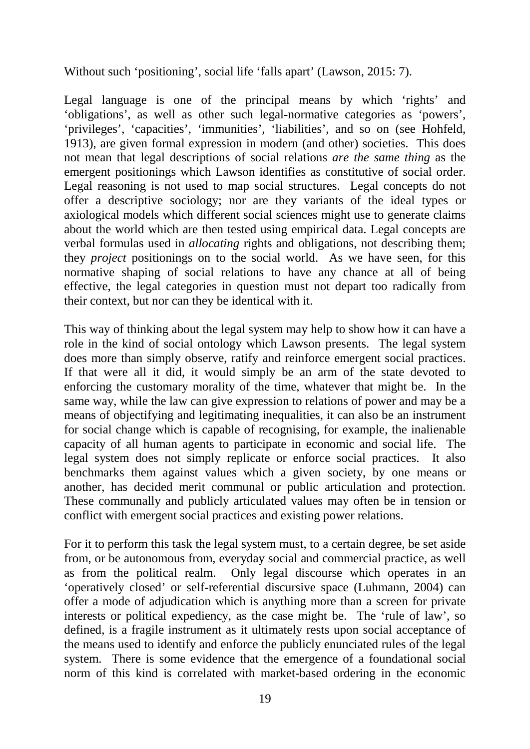Without such 'positioning', social life 'falls apart' (Lawson, 2015: 7).

Legal language is one of the principal means by which 'rights' and 'obligations', as well as other such legal-normative categories as 'powers', 'privileges', 'capacities', 'immunities', 'liabilities', and so on (see Hohfeld, 1913), are given formal expression in modern (and other) societies. This does not mean that legal descriptions of social relations *are the same thing* as the emergent positionings which Lawson identifies as constitutive of social order. Legal reasoning is not used to map social structures. Legal concepts do not offer a descriptive sociology; nor are they variants of the ideal types or axiological models which different social sciences might use to generate claims about the world which are then tested using empirical data. Legal concepts are verbal formulas used in *allocating* rights and obligations, not describing them; they *project* positionings on to the social world. As we have seen, for this normative shaping of social relations to have any chance at all of being effective, the legal categories in question must not depart too radically from their context, but nor can they be identical with it.

This way of thinking about the legal system may help to show how it can have a role in the kind of social ontology which Lawson presents. The legal system does more than simply observe, ratify and reinforce emergent social practices. If that were all it did, it would simply be an arm of the state devoted to enforcing the customary morality of the time, whatever that might be. In the same way, while the law can give expression to relations of power and may be a means of objectifying and legitimating inequalities, it can also be an instrument for social change which is capable of recognising, for example, the inalienable capacity of all human agents to participate in economic and social life. The legal system does not simply replicate or enforce social practices. It also benchmarks them against values which a given society, by one means or another, has decided merit communal or public articulation and protection. These communally and publicly articulated values may often be in tension or conflict with emergent social practices and existing power relations.

For it to perform this task the legal system must, to a certain degree, be set aside from, or be autonomous from, everyday social and commercial practice, as well as from the political realm. Only legal discourse which operates in an 'operatively closed' or self-referential discursive space (Luhmann, 2004) can offer a mode of adjudication which is anything more than a screen for private interests or political expediency, as the case might be. The 'rule of law', so defined, is a fragile instrument as it ultimately rests upon social acceptance of the means used to identify and enforce the publicly enunciated rules of the legal system. There is some evidence that the emergence of a foundational social norm of this kind is correlated with market-based ordering in the economic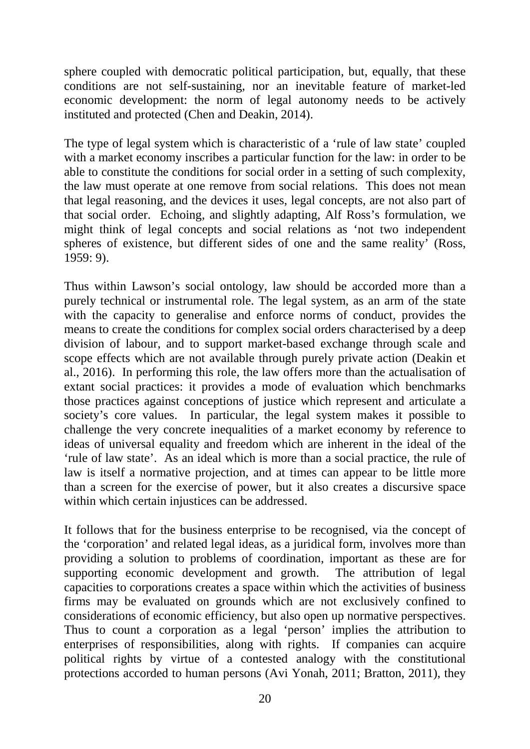sphere coupled with democratic political participation, but, equally, that these conditions are not self-sustaining, nor an inevitable feature of market-led economic development: the norm of legal autonomy needs to be actively instituted and protected (Chen and Deakin, 2014).

The type of legal system which is characteristic of a 'rule of law state' coupled with a market economy inscribes a particular function for the law: in order to be able to constitute the conditions for social order in a setting of such complexity, the law must operate at one remove from social relations. This does not mean that legal reasoning, and the devices it uses, legal concepts, are not also part of that social order. Echoing, and slightly adapting, Alf Ross's formulation, we might think of legal concepts and social relations as 'not two independent spheres of existence, but different sides of one and the same reality' (Ross, 1959: 9).

Thus within Lawson's social ontology, law should be accorded more than a purely technical or instrumental role. The legal system, as an arm of the state with the capacity to generalise and enforce norms of conduct, provides the means to create the conditions for complex social orders characterised by a deep division of labour, and to support market-based exchange through scale and scope effects which are not available through purely private action (Deakin et al., 2016). In performing this role, the law offers more than the actualisation of extant social practices: it provides a mode of evaluation which benchmarks those practices against conceptions of justice which represent and articulate a society's core values. In particular, the legal system makes it possible to challenge the very concrete inequalities of a market economy by reference to ideas of universal equality and freedom which are inherent in the ideal of the 'rule of law state'. As an ideal which is more than a social practice, the rule of law is itself a normative projection, and at times can appear to be little more than a screen for the exercise of power, but it also creates a discursive space within which certain injustices can be addressed.

It follows that for the business enterprise to be recognised, via the concept of the 'corporation' and related legal ideas, as a juridical form, involves more than providing a solution to problems of coordination, important as these are for supporting economic development and growth. The attribution of legal capacities to corporations creates a space within which the activities of business firms may be evaluated on grounds which are not exclusively confined to considerations of economic efficiency, but also open up normative perspectives. Thus to count a corporation as a legal 'person' implies the attribution to enterprises of responsibilities, along with rights. If companies can acquire political rights by virtue of a contested analogy with the constitutional protections accorded to human persons (Avi Yonah, 2011; Bratton, 2011), they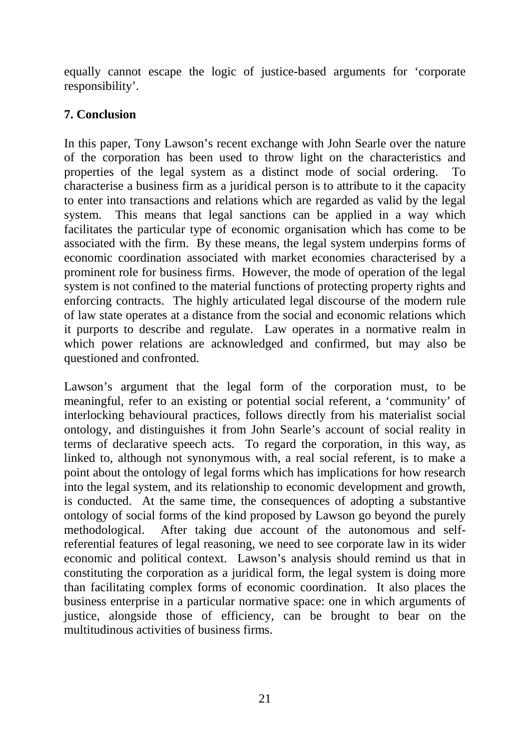equally cannot escape the logic of justice-based arguments for 'corporate responsibility'.

## **7. Conclusion**

In this paper, Tony Lawson's recent exchange with John Searle over the nature of the corporation has been used to throw light on the characteristics and properties of the legal system as a distinct mode of social ordering. characterise a business firm as a juridical person is to attribute to it the capacity to enter into transactions and relations which are regarded as valid by the legal system. This means that legal sanctions can be applied in a way which facilitates the particular type of economic organisation which has come to be associated with the firm. By these means, the legal system underpins forms of economic coordination associated with market economies characterised by a prominent role for business firms. However, the mode of operation of the legal system is not confined to the material functions of protecting property rights and enforcing contracts. The highly articulated legal discourse of the modern rule of law state operates at a distance from the social and economic relations which it purports to describe and regulate. Law operates in a normative realm in which power relations are acknowledged and confirmed, but may also be questioned and confronted.

Lawson's argument that the legal form of the corporation must, to be meaningful, refer to an existing or potential social referent, a 'community' of interlocking behavioural practices, follows directly from his materialist social ontology, and distinguishes it from John Searle's account of social reality in terms of declarative speech acts. To regard the corporation, in this way, as linked to, although not synonymous with, a real social referent, is to make a point about the ontology of legal forms which has implications for how research into the legal system, and its relationship to economic development and growth, is conducted. At the same time, the consequences of adopting a substantive ontology of social forms of the kind proposed by Lawson go beyond the purely methodological. After taking due account of the autonomous and selfreferential features of legal reasoning, we need to see corporate law in its wider economic and political context. Lawson's analysis should remind us that in constituting the corporation as a juridical form, the legal system is doing more than facilitating complex forms of economic coordination. It also places the business enterprise in a particular normative space: one in which arguments of justice, alongside those of efficiency, can be brought to bear on the multitudinous activities of business firms.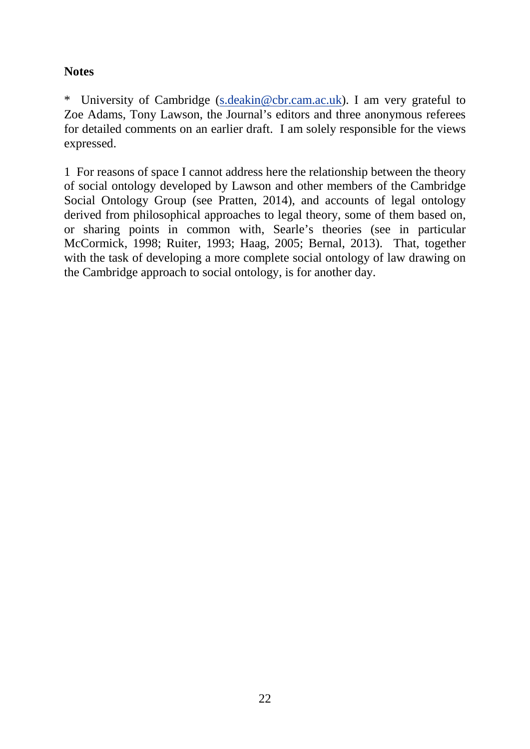# **Notes**

\* University of Cambridge [\(s.deakin@cbr.cam.ac.uk\)](mailto:s.deakin@cbr.cam.ac.uk). I am very grateful to Zoe Adams, Tony Lawson, the Journal's editors and three anonymous referees for detailed comments on an earlier draft. I am solely responsible for the views expressed.

1 For reasons of space I cannot address here the relationship between the theory of social ontology developed by Lawson and other members of the Cambridge Social Ontology Group (see Pratten, 2014), and accounts of legal ontology derived from philosophical approaches to legal theory, some of them based on, or sharing points in common with, Searle's theories (see in particular McCormick, 1998; Ruiter, 1993; Haag, 2005; Bernal, 2013). That, together with the task of developing a more complete social ontology of law drawing on the Cambridge approach to social ontology, is for another day.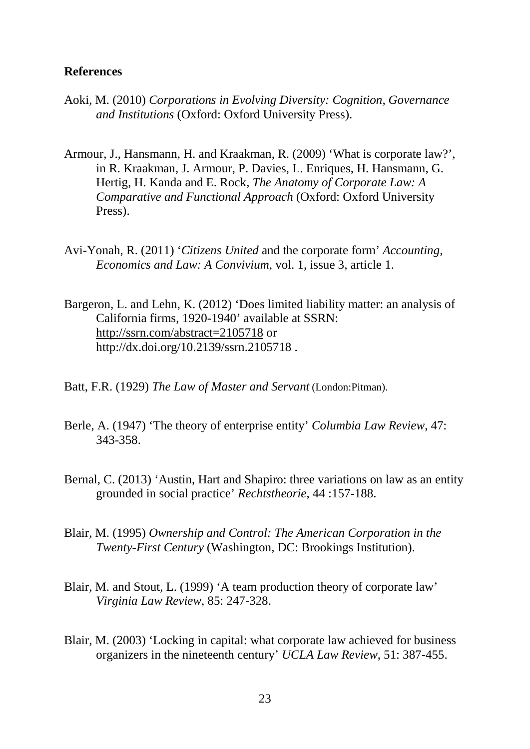#### **References**

- Aoki, M. (2010) *Corporations in Evolving Diversity: Cognition, Governance and Institutions* (Oxford: Oxford University Press).
- Armour, J., Hansmann, H. and Kraakman, R. (2009) 'What is corporate law?', in R. Kraakman, J. Armour, P. Davies, L. Enriques, H. Hansmann, G. Hertig, H. Kanda and E. Rock, *The Anatomy of Corporate Law: A Comparative and Functional Approach* (Oxford: Oxford University Press).
- Avi-Yonah, R. (2011) '*Citizens United* and the corporate form' *Accounting, Economics and Law: A Convivium*, vol. 1, issue 3, article 1.
- Bargeron, L. and Lehn, K. (2012) 'Does limited liability matter: an analysis of California firms, 1920-1940' available at SSRN: <http://ssrn.com/abstract=2105718>or http://dx.doi.org/10.2139/ssrn.2105718 .
- Batt, F.R. (1929) *The Law of Master and Servant* (London:Pitman).
- Berle, A. (1947) 'The theory of enterprise entity' *Columbia Law Review*, 47: 343-358.
- Bernal, C. (2013) 'Austin, Hart and Shapiro: three variations on law as an entity grounded in social practice' *Rechtstheorie*, 44 :157-188.
- Blair, M. (1995) *Ownership and Control: The American Corporation in the Twenty-First Century* (Washington, DC: Brookings Institution).
- Blair, M. and Stout, L. (1999) 'A team production theory of corporate law' *Virginia Law Review*, 85: 247-328.
- Blair, M. (2003) 'Locking in capital: what corporate law achieved for business organizers in the nineteenth century' *UCLA Law Review*, 51: 387-455.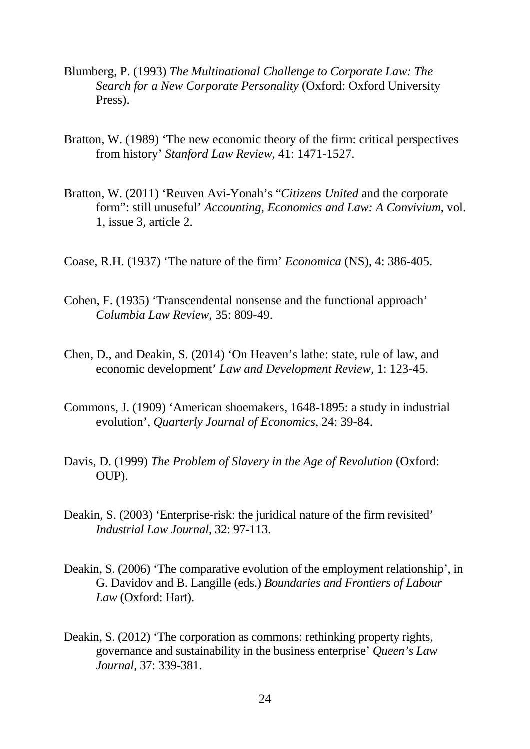- Blumberg, P. (1993) *The Multinational Challenge to Corporate Law: The Search for a New Corporate Personality* (Oxford: Oxford University Press).
- Bratton, W. (1989) 'The new economic theory of the firm: critical perspectives from history' *Stanford Law Review*, 41: 1471-1527.
- Bratton, W. (2011) 'Reuven Avi-Yonah's "*Citizens United* and the corporate form": still unuseful' *Accounting, Economics and Law: A Convivium*, vol. 1, issue 3, article 2.
- Coase, R.H. (1937) 'The nature of the firm' *Economica* (NS), 4: 386-405.
- Cohen, F. (1935) 'Transcendental nonsense and the functional approach' *Columbia Law Review*, 35: 809-49.
- Chen, D., and Deakin, S. (2014) 'On Heaven's lathe: state, rule of law, and economic development' *Law and Development Review*, 1: 123-45.
- Commons, J. (1909) 'American shoemakers, 1648-1895: a study in industrial evolution', *Quarterly Journal of Economics*, 24: 39-84.
- Davis, D. (1999) *The Problem of Slavery in the Age of Revolution* (Oxford: OUP).
- Deakin, S. (2003) 'Enterprise-risk: the juridical nature of the firm revisited' *Industrial Law Journal*, 32: 97-113.
- Deakin, S. (2006) 'The comparative evolution of the employment relationship', in G. Davidov and B. Langille (eds.) *Boundaries and Frontiers of Labour Law* (Oxford: Hart).
- Deakin, S. (2012) 'The corporation as commons: rethinking property rights, governance and sustainability in the business enterprise' *Queen's Law Journal*, 37: 339-381.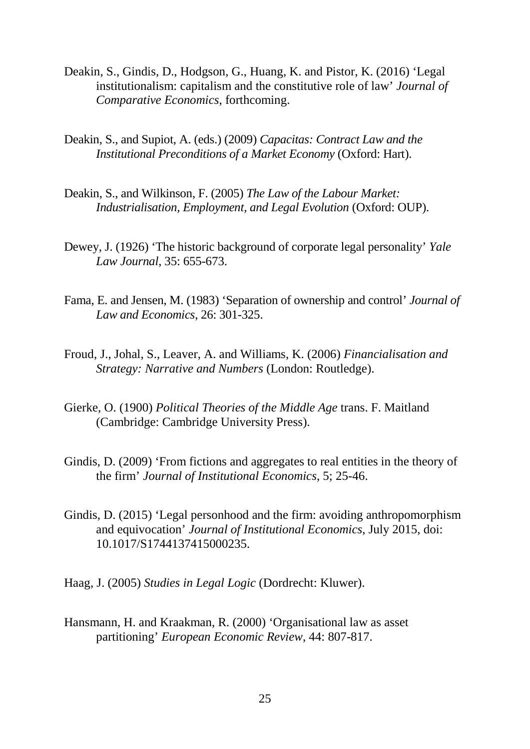- Deakin, S., Gindis, D., Hodgson, G., Huang, K. and Pistor, K. (2016) 'Legal institutionalism: capitalism and the constitutive role of law' *Journal of Comparative Economics*, forthcoming.
- Deakin, S., and Supiot, A. (eds.) (2009) *Capacitas: Contract Law and the Institutional Preconditions of a Market Economy* (Oxford: Hart).
- Deakin, S., and Wilkinson, F. (2005) *The Law of the Labour Market: Industrialisation, Employment, and Legal Evolution* (Oxford: OUP).
- Dewey, J. (1926) 'The historic background of corporate legal personality' *Yale Law Journal*, 35: 655-673.
- Fama, E. and Jensen, M. (1983) 'Separation of ownership and control' *Journal of Law and Economics*, 26: 301-325.
- Froud, J., Johal, S., Leaver, A. and Williams, K. (2006) *Financialisation and Strategy: Narrative and Numbers* (London: Routledge).
- Gierke, O. (1900) *Political Theories of the Middle Age* trans. F. Maitland (Cambridge: Cambridge University Press).
- Gindis, D. (2009) 'From fictions and aggregates to real entities in the theory of the firm' *Journal of Institutional Economics*, 5; 25-46.
- Gindis, D. (2015) 'Legal personhood and the firm: avoiding anthropomorphism and equivocation' *Journal of Institutional Economics*, July 2015, doi: 10.1017/S1744137415000235.

Haag, J. (2005) *Studies in Legal Logic* (Dordrecht: Kluwer).

Hansmann, H. and Kraakman, R. (2000) 'Organisational law as asset partitioning' *European Economic Review*, 44: 807-817.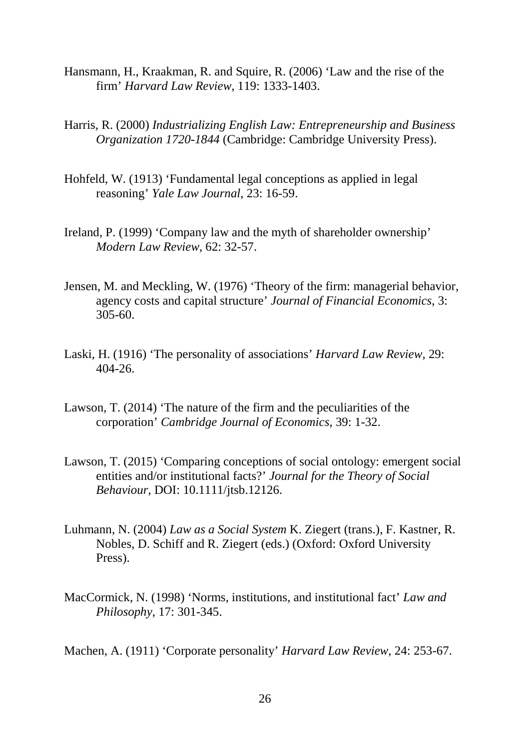- Hansmann, H., Kraakman, R. and Squire, R. (2006) 'Law and the rise of the firm' *Harvard Law Review*, 119: 1333-1403.
- Harris, R. (2000) *Industrializing English Law: Entrepreneurship and Business Organization 1720-1844* (Cambridge: Cambridge University Press).
- Hohfeld, W. (1913) 'Fundamental legal conceptions as applied in legal reasoning' *Yale Law Journal*, 23: 16-59.
- Ireland, P. (1999) 'Company law and the myth of shareholder ownership' *Modern Law Review*, 62: 32-57.
- Jensen, M. and Meckling, W. (1976) 'Theory of the firm: managerial behavior, agency costs and capital structure' *Journal of Financial Economics*, 3: 305-60.
- Laski, H. (1916) 'The personality of associations' *Harvard Law Review*, 29: 404-26.
- Lawson, T. (2014) 'The nature of the firm and the peculiarities of the corporation' *Cambridge Journal of Economics*, 39: 1-32.
- Lawson, T. (2015) 'Comparing conceptions of social ontology: emergent social entities and/or institutional facts?' *Journal for the Theory of Social Behaviour*, DOI: 10.1111/jtsb.12126.
- Luhmann, N. (2004) *Law as a Social System* K. Ziegert (trans.), F. Kastner, R. Nobles, D. Schiff and R. Ziegert (eds.) (Oxford: Oxford University Press).
- MacCormick, N. (1998) 'Norms, institutions, and institutional fact' *Law and Philosophy*, 17: 301-345.

Machen, A. (1911) 'Corporate personality' *Harvard Law Review*, 24: 253-67.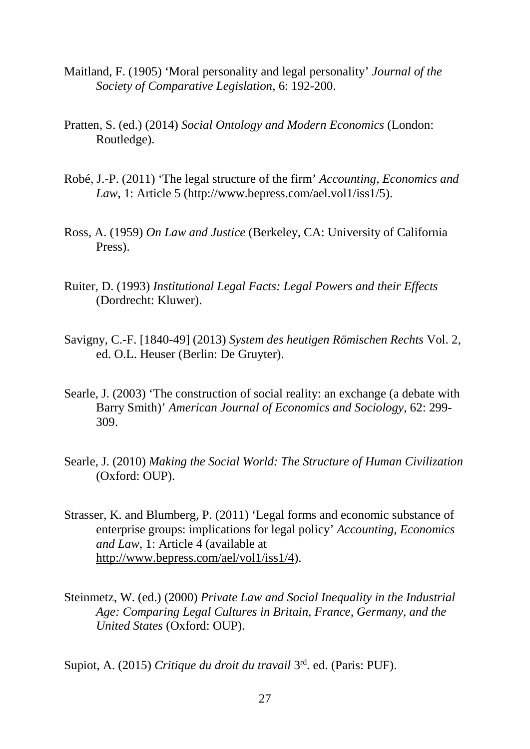- Maitland, F. (1905) 'Moral personality and legal personality' *Journal of the Society of Comparative Legislation*, 6: 192-200.
- Pratten, S. (ed.) (2014) *Social Ontology and Modern Economics* (London: Routledge).
- Robé, J.-P. (2011) 'The legal structure of the firm' *Accounting, Economics and Law*, 1: Article 5 [\(http://www.bepress.com/ael.vol1/iss1/5\)](http://www.bepress.com/ael.vol1/iss1/5).
- Ross, A. (1959) *On Law and Justice* (Berkeley, CA: University of California Press).
- Ruiter, D. (1993) *Institutional Legal Facts: Legal Powers and their Effects* (Dordrecht: Kluwer).
- Savigny, C.-F. [1840-49] (2013) *System des heutigen Römischen Rechts* Vol. 2, ed. O.L. Heuser (Berlin: De Gruyter).
- Searle, J. (2003) 'The construction of social reality: an exchange (a debate with Barry Smith)' *American Journal of Economics and Sociology*, 62: 299- 309.
- Searle, J. (2010) *Making the Social World: The Structure of Human Civilization* (Oxford: OUP).
- Strasser, K. and Blumberg, P. (2011) 'Legal forms and economic substance of enterprise groups: implications for legal policy' *Accounting, Economics and Law*, 1: Article 4 (available at [http://www.bepress.com/ael/vol1/iss1/4\)](http://www.bepress.com/ael/vol1/iss1/4).
- Steinmetz, W. (ed.) (2000) *Private Law and Social Inequality in the Industrial Age: Comparing Legal Cultures in Britain, France, Germany, and the United States* (Oxford: OUP).

Supiot, A. (2015) *Critique du droit du travail* 3rd. ed. (Paris: PUF).